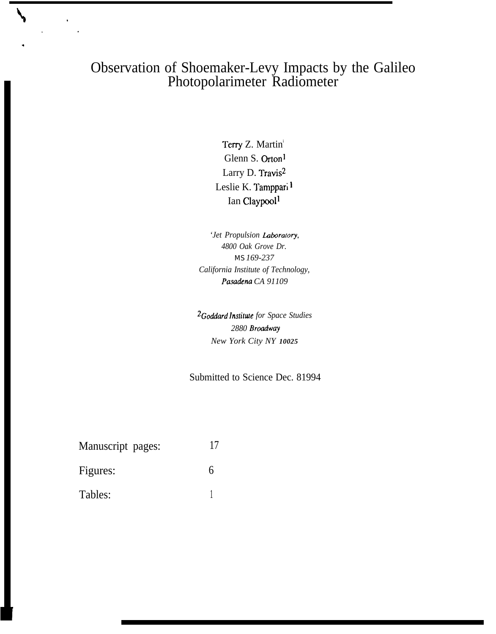## Observation of Shoemaker-Levy Impacts by the Galileo Photopolarimeter Radiometer

Terry Z. Martin<sup>i</sup> Glenn S. Orton] Larry D. Travis2 Leslie K. Tamppari <sup>1</sup> Ian Claypool<sup>1</sup>

'Jet Propulsion Laboratory, *4800 Oak Grove Dr. MS 169-237 California Institute of Technology, Pasa&na CA 91109*

*2Goddard Institate for Space Studies 2880 Broadwq New York City NY 10025*

Submitted to Science Dec. 81994

Manuscript pages: 17 Figures: 6 Tables: 1

.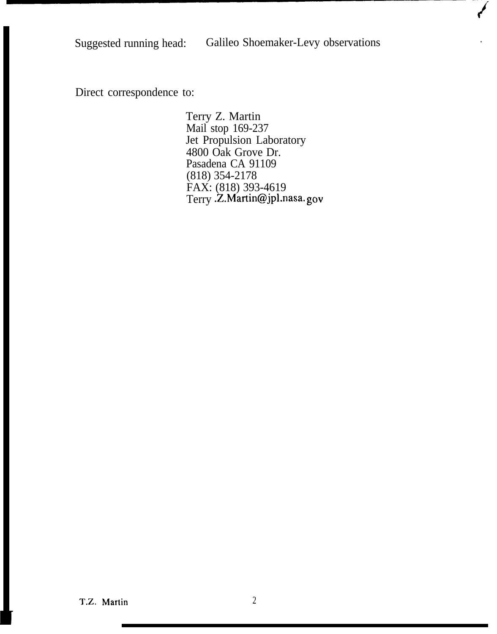## Suggested running head: Galileo Shoemaker-Levy observations

**t'**

Direct correspondence to:

Terry Z. Martin Mail stop 169-237 Jet Propulsion Laboratory 4800 Oak Grove Dr. Pasadena CA 91109 (818) 354-2178 FAX: (818) 393-4619 Terry .Z.Martin@jpl.nasa. gov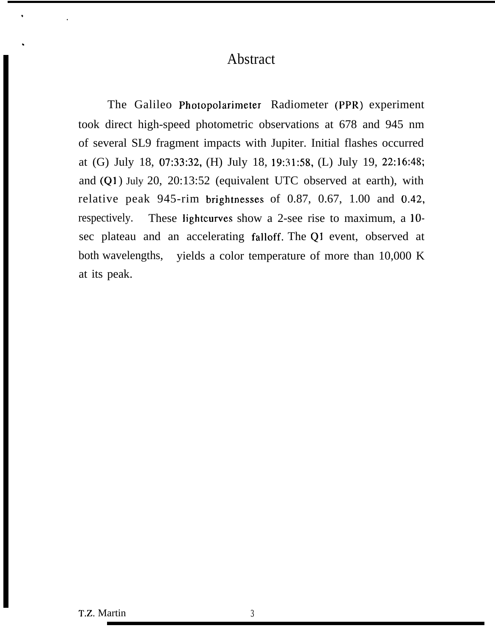## Abstract

The Galileo Photopolarimeter Radiometer (PPR) experiment took direct high-speed photometric observations at 678 and 945 nm of several SL9 fragment impacts with Jupiter. Initial flashes occurred at (G) July 18, 07:33:32, (H) July 18, 19:31:58, (L) July 19, 22:16:48; and  $(Q1)$  July 20, 20:13:52 (equivalent UTC observed at earth), with relative peak 945-rim brightnesses of 0.87, 0.67, 1.00 and 0.42, respectively. These lightcurves show a 2-see rise to maximum, a 10 sec plateau and an accelerating falloff. The Q1 event, observed at both wavelengths, yields a color temperature of more than 10,000 K at its peak.

.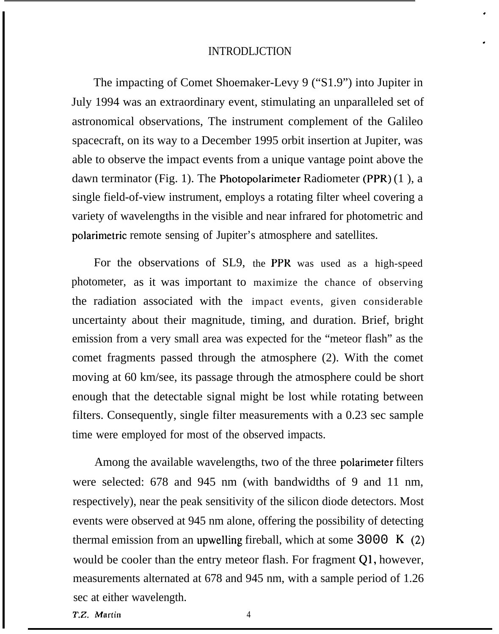#### INTRODLJCTION

.

#

The impacting of Comet Shoemaker-Levy 9 ("S1.9") into Jupiter in July 1994 was an extraordinary event, stimulating an unparalleled set of astronomical observations, The instrument complement of the Galileo spacecraft, on its way to a December 1995 orbit insertion at Jupiter, was able to observe the impact events from a unique vantage point above the dawn terminator (Fig. 1). The Photopolarimeter Radiometer (PPR) (1 ), a single field-of-view instrument, employs a rotating filter wheel covering a variety of wavelengths in the visible and near infrared for photometric and polarimetric remote sensing of Jupiter's atmosphere and satellites.

For the observations of SL9, the PPR was used as a high-speed photometer, as it was important to maximize the chance of observing the radiation associated with the impact events, given considerable uncertainty about their magnitude, timing, and duration. Brief, bright emission from a very small area was expected for the "meteor flash" as the comet fragments passed through the atmosphere (2). With the comet moving at 60 km/see, its passage through the atmosphere could be short enough that the detectable signal might be lost while rotating between filters. Consequently, single filter measurements with a 0.23 sec sample time were employed for most of the observed impacts.

Among the available wavelengths, two of the three polarimeter filters were selected: 678 and 945 nm (with bandwidths of 9 and 11 nm, respectively), near the peak sensitivity of the silicon diode detectors. Most events were observed at 945 nm alone, offering the possibility of detecting thermal emission from an upwelling fireball, which at some  $3000 \text{ K}$  (2) would be cooler than the entry meteor flash. For fragment Q1, however, measurements alternated at 678 and 945 nm, with a sample period of 1.26 sec at either wavelength.

 $T.Z.$  Martin  $4$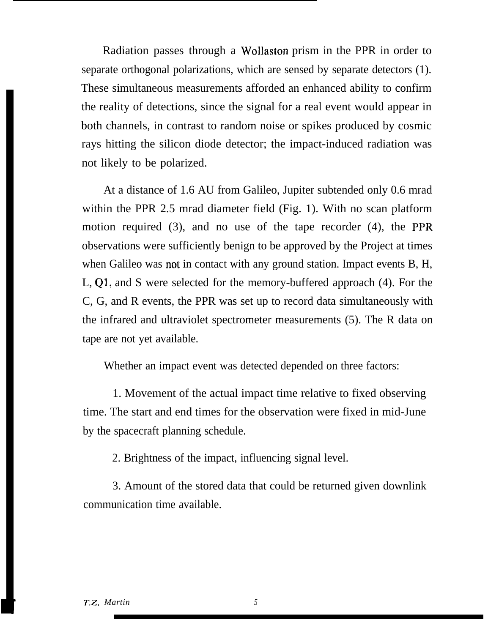Radiation passes through a Wollaston prism in the PPR in order to separate orthogonal polarizations, which are sensed by separate detectors (1). These simultaneous measurements afforded an enhanced ability to confirm the reality of detections, since the signal for a real event would appear in both channels, in contrast to random noise or spikes produced by cosmic rays hitting the silicon diode detector; the impact-induced radiation was not likely to be polarized.

At a distance of 1.6 AU from Galileo, Jupiter subtended only 0.6 mrad within the PPR 2.5 mrad diameter field (Fig. 1). With no scan platform motion required (3), and no use of the tape recorder (4), the PPR observations were sufficiently benign to be approved by the Project at times when Galileo was not in contact with any ground station. Impact events B, H, L, Q1, and S were selected for the memory-buffered approach (4). For the C, G, and R events, the PPR was set up to record data simultaneously with the infrared and ultraviolet spectrometer measurements (5). The R data on tape are not yet available.

Whether an impact event was detected depended on three factors:

1. Movement of the actual impact time relative to fixed observing time. The start and end times for the observation were fixed in mid-June by the spacecraft planning schedule.

2. Brightness of the impact, influencing signal level.

3. Amount of the stored data that could be returned given downlink communication time available.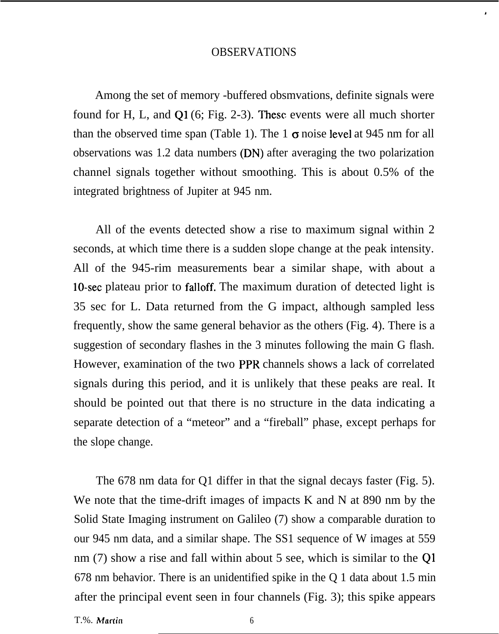#### OBSERVATIONS

,

Among the set of memory -buffered obsmvations, definite signals were found for H, L, and Q1 (6; Fig. 2-3). These events were all much shorter than the observed time span (Table 1). The 1  $\sigma$  noise level at 945 nm for all observations was 1.2 data numbers (DN) after averaging the two polarization channel signals together without smoothing. This is about 0.5% of the integrated brightness of Jupiter at 945 nm.

All of the events detected show a rise to maximum signal within 2 seconds, at which time there is a sudden slope change at the peak intensity. All of the 945-rim measurements bear a similar shape, with about a 10-sec plateau prior to falloff. The maximum duration of detected light is 35 sec for L. Data returned from the G impact, although sampled less frequently, show the same general behavior as the others (Fig. 4). There is a suggestion of secondary flashes in the 3 minutes following the main G flash. However, examination of the two PPR channels shows a lack of correlated signals during this period, and it is unlikely that these peaks are real. It should be pointed out that there is no structure in the data indicating a separate detection of a "meteor" and a "fireball" phase, except perhaps for the slope change.

The 678 nm data for Q1 differ in that the signal decays faster (Fig. 5). We note that the time-drift images of impacts K and N at 890 nm by the Solid State Imaging instrument on Galileo (7) show a comparable duration to our 945 nm data, and a similar shape. The SS1 sequence of W images at 559 nm (7) show a rise and fall within about 5 see, which is similar to the Q1 678 nm behavior. There is an unidentified spike in the Q 1 data about 1.5 min after the principal event seen in four channels (Fig. 3); this spike appears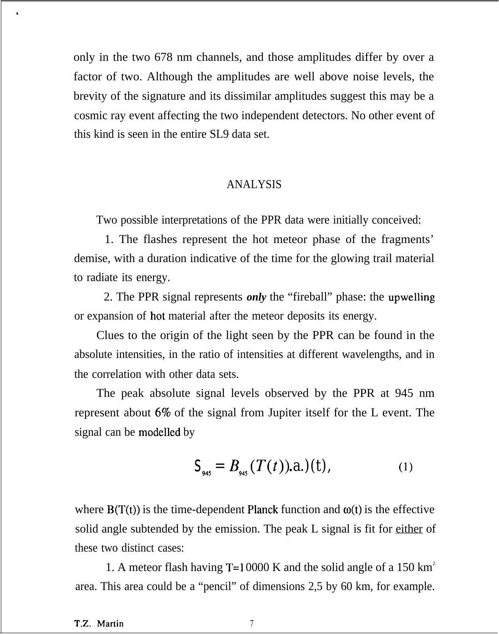only in the two 678 nm channels, and those amplitudes differ by over a factor of two. Although the amplitudes are well above noise levels, the brevity of the signature and its dissimilar amplitudes suggest this may be a cosmic ray event affecting the two independent detectors. No other event of this kind is seen in the entire SL9 data set.

#### ANALYSIS

Two possible interpretations of the PPR data were initially conceived:

1. The flashes represent the hot meteor phase of the fragments' demise, with a duration indicative of the time for the glowing trail material to radiate its energy.

2. The PPR signal represents *only* the "fireball" phase: the upwelling or expansion of hot material after the meteor deposits its energy.

Clues to the origin of the light seen by the PPR can be found in the absolute intensities, in the ratio of intensities at different wavelengths, and in the correlation with other data sets.

The peak absolute signal levels observed by the PPR at 945 nm represent about  $6\%$  of the signal from Jupiter itself for the L event. The signal can be modelled by

$$
S_{_{945}} = B_{_{945}}(T(t)).a.)(t), \tag{1}
$$

where  $B(T(t))$  is the time-dependent Planck function and  $\omega(t)$  is the effective solid angle subtended by the emission. The peak L signal is fit for either of these two distinct cases:

1. A meteor flash having T=10000 K and the solid angle of a 150  $km^2$ area. This area could be a "pencil" of dimensions 2,5 by 60 km, for example.

 $\ddot{\phantom{a}}$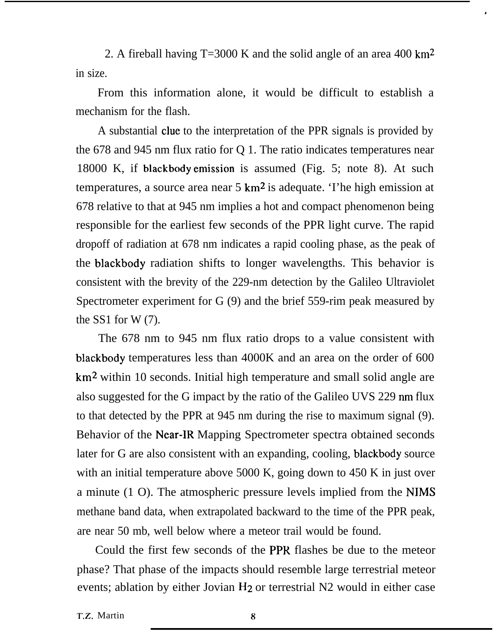2. A fireball having  $T=3000$  K and the solid angle of an area 400 km<sup>2</sup> in size.

,

From this information alone, it would be difficult to establish a mechanism for the flash.

A substantial clue to the interpretation of the PPR signals is provided by the 678 and 945 nm flux ratio for Q 1. The ratio indicates temperatures near 18000 K, if blackbody emission is assumed (Fig. 5; note 8). At such temperatures, a source area near  $5 \text{ km}^2$  is adequate. The high emission at 678 relative to that at 945 nm implies a hot and compact phenomenon being responsible for the earliest few seconds of the PPR light curve. The rapid dropoff of radiation at 678 nm indicates a rapid cooling phase, as the peak of the blackbody radiation shifts to longer wavelengths. This behavior is consistent with the brevity of the 229-nm detection by the Galileo Ultraviolet Spectrometer experiment for G (9) and the brief 559-rim peak measured by the SS1 for W $(7)$ .

The 678 nm to 945 nm flux ratio drops to a value consistent with blackbody temperatures less than 4000K and an area on the order of 600 km<sup>2</sup> within 10 seconds. Initial high temperature and small solid angle are also suggested for the G impact by the ratio of the Galileo UVS 229 nm flux to that detected by the PPR at 945 nm during the rise to maximum signal (9). Behavior of the Near-IR Mapping Spectrometer spectra obtained seconds later for G are also consistent with an expanding, cooling, blackbody source with an initial temperature above 5000 K, going down to 450 K in just over a minute (1 O). The atmospheric pressure levels implied from the NIMS methane band data, when extrapolated backward to the time of the PPR peak, are near 50 mb, well below where a meteor trail would be found.

Could the first few seconds of the PPR flashes be due to the meteor phase? That phase of the impacts should resemble large terrestrial meteor events; ablation by either Jovian  $H_2$  or terrestrial N2 would in either case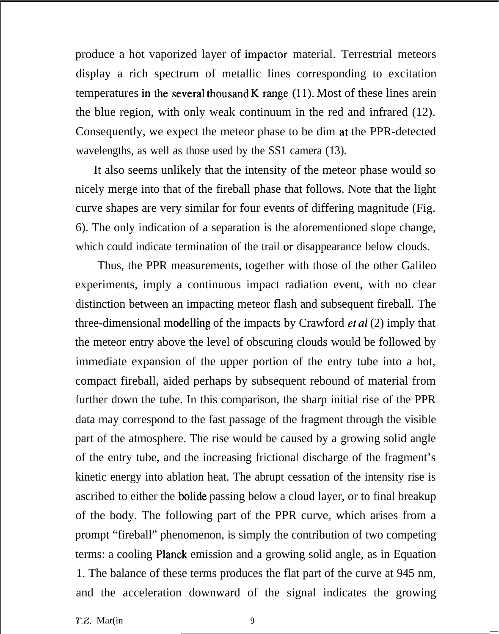produce a hot vaporized layer of impactor material. Terrestrial meteors display a rich spectrum of metallic lines corresponding to excitation temperatures in the several thousand K range  $(11)$ . Most of these lines arein the blue region, with only weak continuum in the red and infrared (12). Consequently, we expect the meteor phase to be dim at the PPR-detected wavelengths, as well as those used by the SS1 camera (13).

It also seems unlikely that the intensity of the meteor phase would so nicely merge into that of the fireball phase that follows. Note that the light curve shapes are very similar for four events of differing magnitude (Fig. 6). The only indication of a separation is the aforementioned slope change, which could indicate termination of the trail or disappearance below clouds.

Thus, the PPR measurements, together with those of the other Galileo experiments, imply a continuous impact radiation event, with no clear distinction between an impacting meteor flash and subsequent fireball. The three-dimensional modelling of the impacts by Crawford et *al* (2) imply that the meteor entry above the level of obscuring clouds would be followed by immediate expansion of the upper portion of the entry tube into a hot, compact fireball, aided perhaps by subsequent rebound of material from further down the tube. In this comparison, the sharp initial rise of the PPR data may correspond to the fast passage of the fragment through the visible part of the atmosphere. The rise would be caused by a growing solid angle of the entry tube, and the increasing frictional discharge of the fragment's kinetic energy into ablation heat. The abrupt cessation of the intensity rise is ascribed to either the bolide passing below a cloud layer, or to final breakup of the body. The following part of the PPR curve, which arises from a prompt "fireball" phenomenon, is simply the contribution of two competing terms: a cooling Planck emission and a growing solid angle, as in Equation 1. The balance of these terms produces the flat part of the curve at 945 nm, and the acceleration downward of the signal indicates the growing

—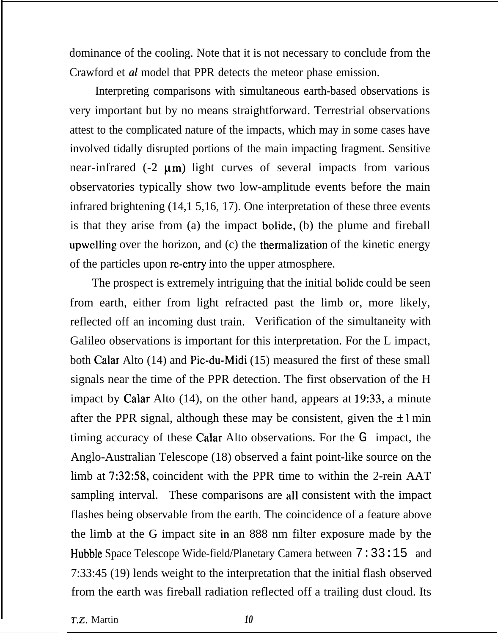dominance of the cooling. Note that it is not necessary to conclude from the Crawford et *al* model that PPR detects the meteor phase emission.

Interpreting comparisons with simultaneous earth-based observations is very important but by no means straightforward. Terrestrial observations attest to the complicated nature of the impacts, which may in some cases have involved tidally disrupted portions of the main impacting fragment. Sensitive near-infrared  $(-2 \mu m)$  light curves of several impacts from various observatories typically show two low-amplitude events before the main infrared brightening (14,1 5,16, 17). One interpretation of these three events is that they arise from (a) the impact bolide, (b) the plume and fireball upwelling over the horizon, and (c) the thermalization of the kinetic energy of the particles upon re-entry into the upper atmosphere.

The prospect is extremely intriguing that the initial bolide could be seen from earth, either from light refracted past the limb or, more likely, reflected off an incoming dust train. Verification of the simultaneity with Galileo observations is important for this interpretation. For the L impact, both Calar Alto (14) and Pic-du-Midi (15) measured the first of these small signals near the time of the PPR detection. The first observation of the H impact by Calar Alto (14), on the other hand, appears at 19:33, a minute after the PPR signal, although these may be consistent, given the  $\pm 1$  min timing accuracy of these Calar Alto observations. For the G impact, the Anglo-Australian Telescope (18) observed a faint point-like source on the limb at 7:32:58, coincident with the PPR time to within the 2-rein AAT sampling interval. These comparisons are all consistent with the impact flashes being observable from the earth. The coincidence of a feature above the limb at the G impact site in an 888 nm filter exposure made by the Hubble Space Telescope Wide-field/Planetary Camera between 7:33:15 and 7:33:45 (19) lends weight to the interpretation that the initial flash observed from the earth was fireball radiation reflected off a trailing dust cloud. Its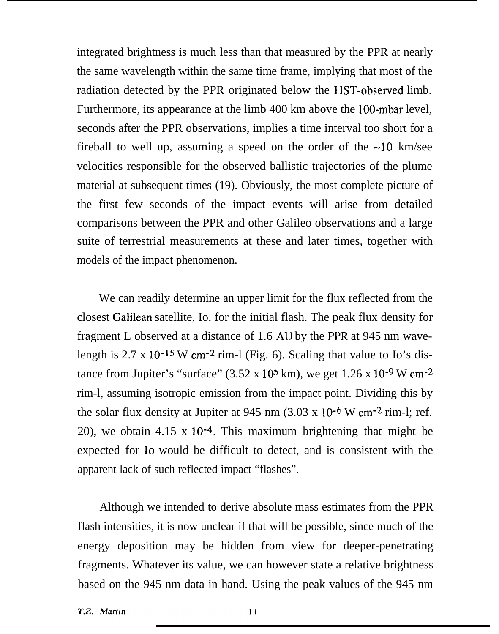integrated brightness is much less than that measured by the PPR at nearly the same wavelength within the same time frame, implying that most of the radiation detected by the PPR originated below the <sup>I</sup> lST-observed limb. Furthermore, its appearance at the limb 400 km above the 100-mbar level, seconds after the PPR observations, implies a time interval too short for a fireball to well up, assuming a speed on the order of the  $\sim$ 10 km/see velocities responsible for the observed ballistic trajectories of the plume material at subsequent times (19). Obviously, the most complete picture of the first few seconds of the impact events will arise from detailed comparisons between the PPR and other Galileo observations and a large suite of terrestrial measurements at these and later times, together with models of the impact phenomenon.

We can readily determine an upper limit for the flux reflected from the closest Galilean satellite, Io, for the initial flash. The peak flux density for fragment L observed at a distance of 1.6 AIJ by the PPR at 945 nm wavelength is  $2.7 \times 10^{-15}$  W cm<sup>-2</sup> rim-l (Fig. 6). Scaling that value to Io's distance from Jupiter's "surface" (3.52 x 10<sup>5</sup> km), we get  $1.26$  x  $10^{-9}$  W cm<sup>-2</sup> rim-l, assuming isotropic emission from the impact point. Dividing this by the solar flux density at Jupiter at 945 nm  $(3.03 \times 10^{-6} \text{ W cm}^{-2} \text{ rim-l}; \text{ref.})$ 20), we obtain 4.15 x 10-4. This maximum brightening that might be expected for Io would be difficult to detect, and is consistent with the apparent lack of such reflected impact "flashes".

Although we intended to derive absolute mass estimates from the PPR flash intensities, it is now unclear if that will be possible, since much of the energy deposition may be hidden from view for deeper-penetrating fragments. Whatever its value, we can however state a relative brightness based on the 945 nm data in hand. Using the peak values of the 945 nm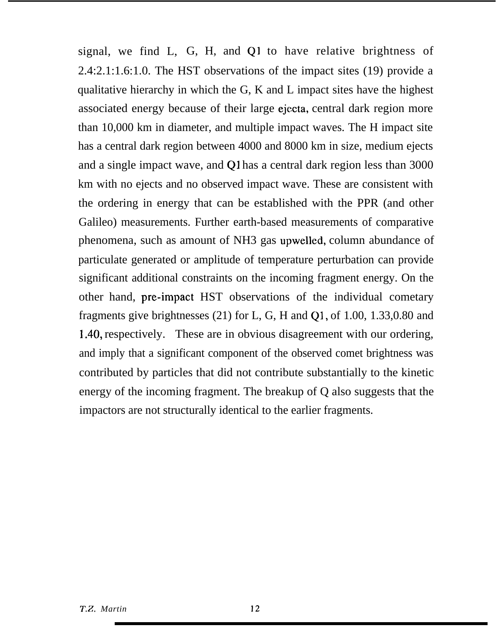signal, we find  $L$ ,  $G$ ,  $H$ , and  $Q1$  to have relative brightness of 2.4:2.1:1.6:1.0. The HST observations of the impact sites (19) provide a qualitative hierarchy in which the G, K and L impact sites have the highest associated energy because of their large ejccta, central dark region more than 10,000 km in diameter, and multiple impact waves. The H impact site has a central dark region between 4000 and 8000 km in size, medium ejects and a single impact wave, and Q1 has a central dark region less than 3000 km with no ejects and no observed impact wave. These are consistent with the ordering in energy that can be established with the PPR (and other Galileo) measurements. Further earth-based measurements of comparative phenomena, such as amount of NH3 gas upwelled, column abundance of particulate generated or amplitude of temperature perturbation can provide significant additional constraints on the incoming fragment energy. On the other hand, pre-impact HST observations of the individual cometary fragments give brightnesses (21) for L, G, H and Q1, of 1.00, 1.33,0.80 and 1.40, respectively. These are in obvious disagreement with our ordering, and imply that a significant component of the observed comet brightness was contributed by particles that did not contribute substantially to the kinetic energy of the incoming fragment. The breakup of Q also suggests that the impactors are not structurally identical to the earlier fragments.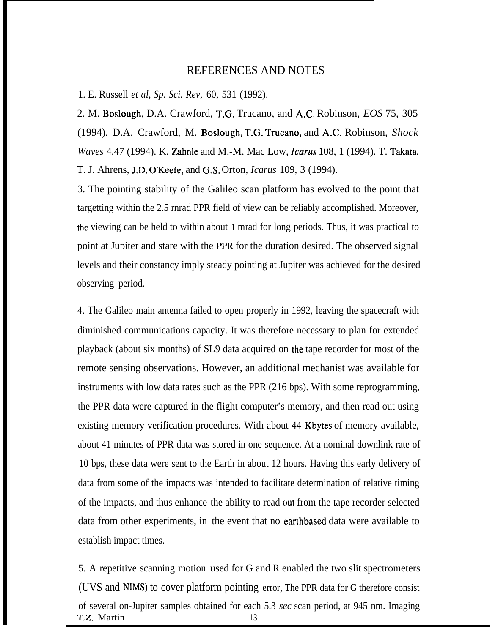#### REFERENCES AND NOTES

1. E. Russell *et al, Sp. Sci. Rev,* 60, 531 (1992).

2. M. Boslough, D.A. Crawford, T.G. Trucano, and A.C. Robinson, *EOS* 75, 305 (1994). D.A. Crawford, M. Boslough, T.G. Trucano, and A.C. Robinson, *Shock Waves* 4,47 (1994). K. Zahnle and M.-M. Mac Low, *Icarw* 108, 1 (1994). T. Takata, T. J. Ahrens, J.D. O'Keefe, and G.S. Orton, *Icarus* 109, 3 (1994).

3. The pointing stability of the Galileo scan platform has evolved to the point that targetting within the 2.5 rnrad PPR field of view can be reliably accomplished. Moreover, the viewing can be held to within about 1 mrad for long periods. Thus, it was practical to point at Jupiter and stare with the PPR for the duration desired. The observed signal levels and their constancy imply steady pointing at Jupiter was achieved for the desired observing period.

4. The Galileo main antenna failed to open properly in 1992, leaving the spacecraft with diminished communications capacity. It was therefore necessary to plan for extended playback (about six months) of SL9 data acquired on the tape recorder for most of the remote sensing observations. However, an additional mechanist was available for instruments with low data rates such as the PPR (216 bps). With some reprogramming, the PPR data were captured in the flight computer's memory, and then read out using existing memory verification procedures. With about 44 Kbytes of memory available, about 41 minutes of PPR data was stored in one sequence. At a nominal downlink rate of 10 bps, these data were sent to the Earth in about 12 hours. Having this early delivery of data from some of the impacts was intended to facilitate determination of relative timing of the impacts, and thus enhance the ability to read out from the tape recorder selected data from other experiments, in the event that no earthbased data were available to establish impact times.

5. A repetitive scanning motion used for G and R enabled the two slit spectrometers (UVS and NIMS) to cover platform pointing error, The PPR data for G therefore consist of several on-Jupiter samples obtained for each 5.3 *sec* scan period, at 945 nm. Imaging T.Z. Martin 13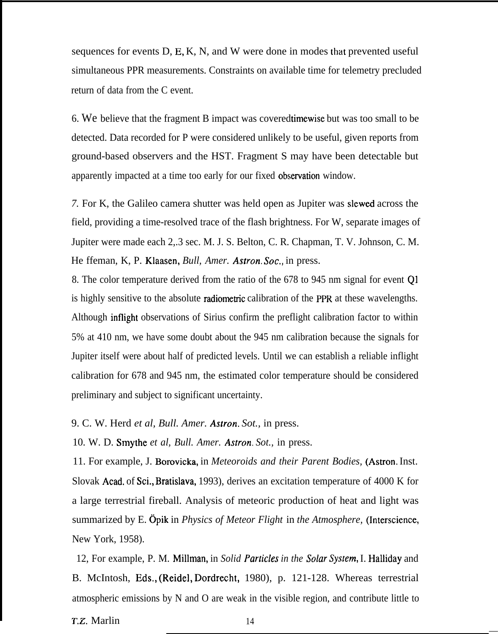sequences for events D, E, K, N, and W were done in modes that prevented useful simultaneous PPR measurements. Constraints on available time for telemetry precluded return of data from the C event.

6. We believe that the fragment B impact was covered timewise but was too small to be detected. Data recorded for P were considered unlikely to be useful, given reports from ground-based observers and the HST. Fragment S may have been detectable but apparently impacted at a time too early for our fixed observation window.

*7.* For K, the Galileo camera shutter was held open as Jupiter was slewed across the field, providing a time-resolved trace of the flash brightness. For W, separate images of Jupiter were made each 2,.3 sec. M. J. S. Belton, C. R. Chapman, T. V. Johnson, C. M. He ffeman, K, P. Klaasen, *Bull, Amer. Astron. Sot,,* in press.

8. The color temperature derived from the ratio of the 678 to 945 nm signal for event Q1 is highly sensitive to the absolute radiometric calibration of the PPR at these wavelengths. Although inflight observations of Sirius confirm the preflight calibration factor to within 5% at 410 nm, we have some doubt about the 945 nm calibration because the signals for Jupiter itself were about half of predicted levels. Until we can establish a reliable inflight calibration for 678 and 945 nm, the estimated color temperature should be considered preliminary and subject to significant uncertainty.

9. C. W. Herd *et al, Bull. Amer. Astron. Sot.,* in press.

10. W. D. Smythe *et al, Bull. Amer. Astron. Sot.,* in press.

11. For example, J. Borovicka, in *Meteoroids and their Parent Bodies,* (Astron. Inst. Slovak Acad, of Sci., Bratislava, 1993), derives an excitation temperature of 4000 K for a large terrestrial fireball. Analysis of meteoric production of heat and light was summarized by E. @ik in *Physics of Meteor Flight* in *the Atmosphere,* (Interscience, New York, 1958).

12, For example, P. M. Millman, in *Solid Parlicles in the Solar Syslern,* I. Halliday and B. McIntosh, Eds,, (Reidel, Dordrecht, 1980), p. 121-128. Whereas terrestrial atmospheric emissions by N and O are weak in the visible region, and contribute little to

T.Z. Marlin 14

—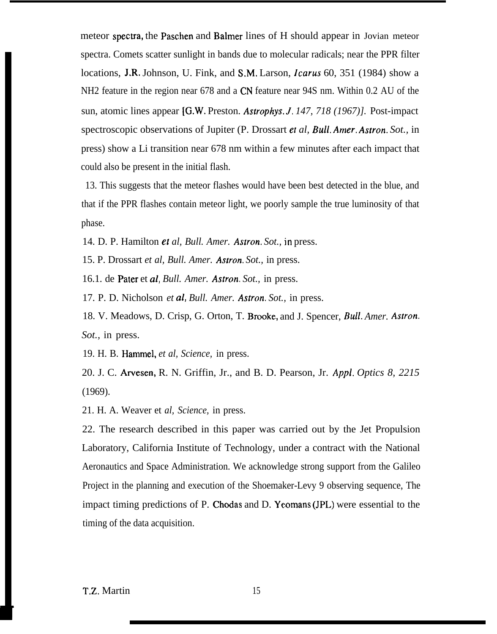meteor spectia, the Paschen and Balmer lines of H should appear in Jovian meteor spectra. Comets scatter sunlight in bands due to molecular radicals; near the PPR filter locations, J.R. Johnson, U. Fink, and S.M. Larson, *Icarus* 60, 351 (1984) show a NH2 feature in the region near 678 and a CN feature near 94S nm. Within 0.2 AU of the sun, atomic lines appear [G.W. Preston. *Astrophys. J. 147, 718 (1967)]*. Post-impact spectroscopic observations of Jupiter (P. Drossart ef *al, Bull. Amer. Astron. Sot.,* in press) show a Li transition near 678 nm within a few minutes after each impact that could also be present in the initial flash.

13. This suggests that the meteor flashes would have been best detected in the blue, and that if the PPR flashes contain meteor light, we poorly sample the true luminosity of that phase.

14. D. P. Hamilton *et al, Bull. Amer. Astron. Sot.,* in press.

15. P. Drossart *et al, Bull. Amer. Astron. Sot.,* in press.

16.1. de Pater et al, *Bull. Amer. Astron. Sot.,* in press.

17. P. D. Nicholson *et al, Bull. Amer. Astron. Sot.,* in press.

18. V. Meadows, D. Crisp, G. Orton, T. Brooke, and J. Spencer, *Bull. Amer. AsIron. Sot.,* in press.

19. H. B. Hammel, *et al, Science,* in press.

20. J. C. Arvesen, R. N. Griffin, Jr., and B. D. Pearson, Jr. *Appl. Optics 8, 2215* (1969).

21. H. A. Weaver et *al, Science,* in press.

22. The research described in this paper was carried out by the Jet Propulsion Laboratory, California Institute of Technology, under a contract with the National Aeronautics and Space Administration. We acknowledge strong support from the Galileo Project in the planning and execution of the Shoemaker-Levy 9 observing sequence, The impact timing predictions of P. Chodas and D. Yeomans (JPL) were essential to the timing of the data acquisition.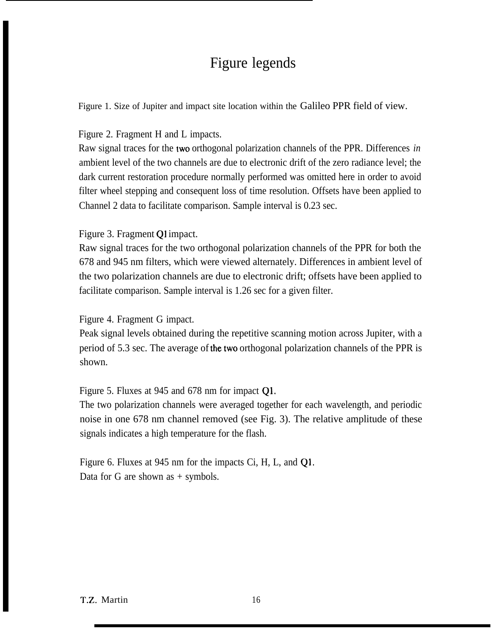# Figure legends

Figure 1. Size of Jupiter and impact site location within the Galileo PPR field of view.

Figure 2. Fragment H and L impacts.

Raw signal traces for the two orthogonal polarization channels of the PPR. Differences *in* ambient level of the two channels are due to electronic drift of the zero radiance level; the dark current restoration procedure normally performed was omitted here in order to avoid filter wheel stepping and consequent loss of time resolution. Offsets have been applied to Channel 2 data to facilitate comparison. Sample interval is 0.23 sec.

Figure 3. Fragment Q1 impact.

Raw signal traces for the two orthogonal polarization channels of the PPR for both the 678 and 945 nm filters, which were viewed alternately. Differences in ambient level of the two polarization channels are due to electronic drift; offsets have been applied to facilitate comparison. Sample interval is 1.26 sec for a given filter.

Figure 4. Fragment G impact.

Peak signal levels obtained during the repetitive scanning motion across Jupiter, with a period of 5.3 sec. The average of the two orthogonal polarization channels of the PPR is shown.

Figure 5. Fluxes at 945 and 678 nm for impact Ql,

The two polarization channels were averaged together for each wavelength, and periodic noise in one 678 nm channel removed (see Fig. 3). The relative amplitude of these signals indicates a high temperature for the flash.

Figure 6. Fluxes at 945 nm for the impacts Ci, H, L, and Q1. Data for G are shown as  $+$  symbols.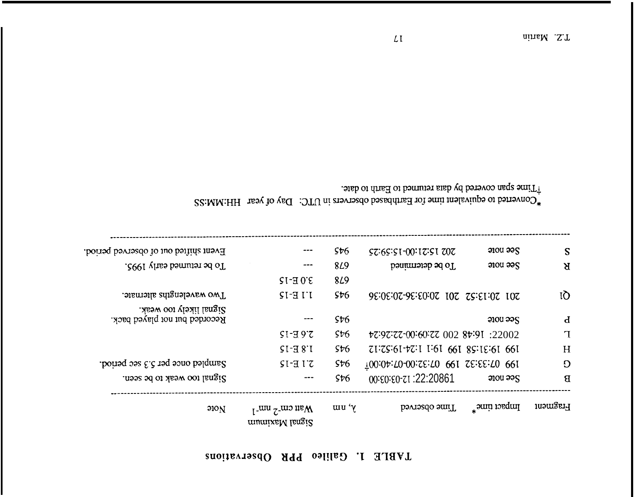### TABLE 1. Galileo PPR Observations

| 910 <sub>N</sub>                                         | $M2$ run <sup>-2</sup> nm <sup>-1</sup><br>munixaM langi2 | $y'$ um    | Time observed                       | Impact time*          | Fragment     |
|----------------------------------------------------------|-----------------------------------------------------------|------------|-------------------------------------|-----------------------|--------------|
| Signal too weak to be seen.                              | ---                                                       | \$t6       | 00: 00: 00: 122: 20861              | $2000$ $225$          | $\mathbf{B}$ |
| Sampled once per 5.3 sec period.                         | STET                                                      | \$t6       | T00:04:N0-00:SE:N0 QQ1 SE:EE:N0 QQ1 |                       | O            |
|                                                          | $51 - 381$                                                | 5t6        | 71:75:61-77:1 1:61 661 85:15:61 661 |                       | H            |
|                                                          | $S1 - 397$                                                | \$t6       | tz:9z:zz-00:60:zz 002 8t:9I :22002  |                       | $\mathbf T$  |
| Signal likely too weak.<br>Recorded but not played back. |                                                           | \$t6       |                                     | $9100 \n995$          | $\mathbf d$  |
| Two wavelengths alternate.                               | $I'I E-I$                                                 | \$t6       | 9999202-999202020202039999993039    |                       | IQ           |
|                                                          | $3.0 E-15$                                                | <b>849</b> |                                     |                       |              |
| To be returned early 1995.                               | $- - -$                                                   | <b>849</b> | To be determined                    | $200u$ $22S$          | $\mathbf{R}$ |
| Event shifted out of observed period.                    |                                                           | \$t6       | $57.65:51-00:17:51.707$             | $3000 \frac{33}{500}$ | S            |

22: MM:HH res verted to faithbased observers in UTC: Day of year HH: MM: SS

.<br><br/>ota covered by data returned to Earth to date.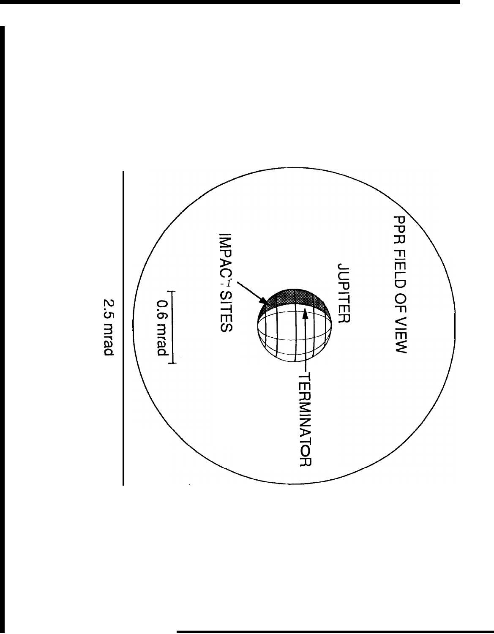

2.5 mrad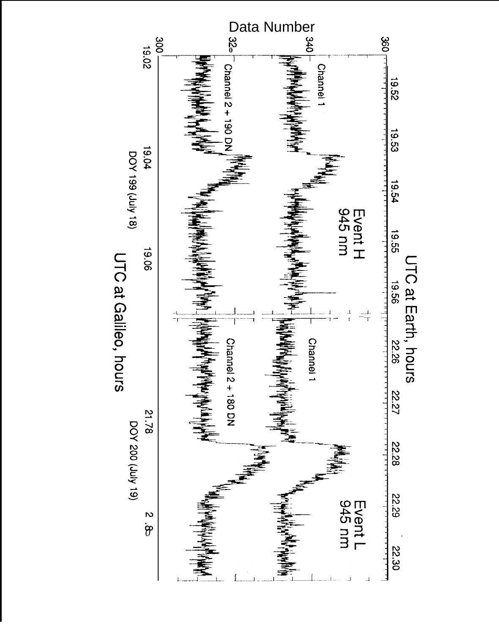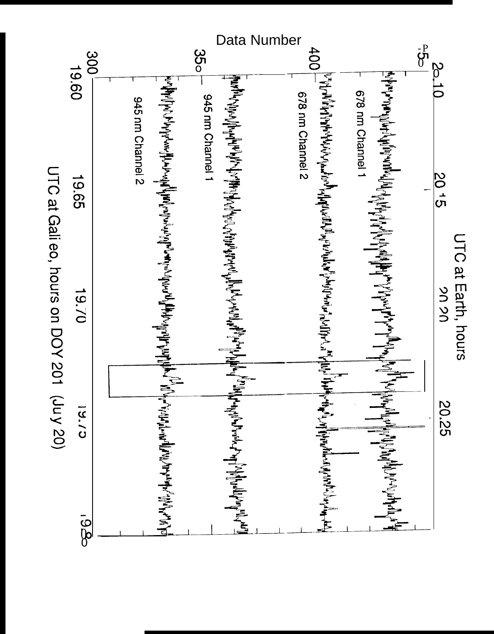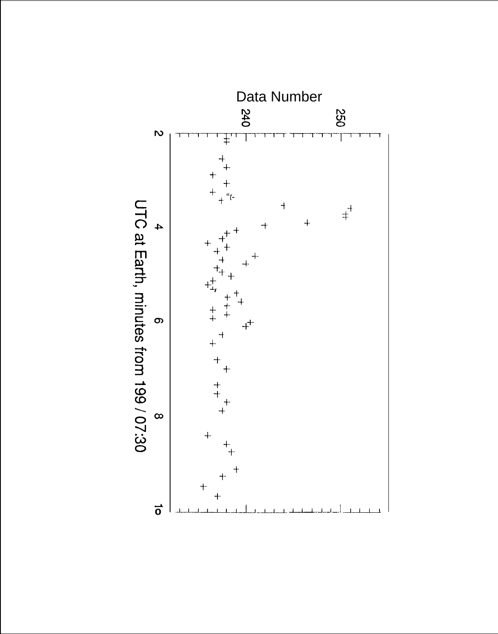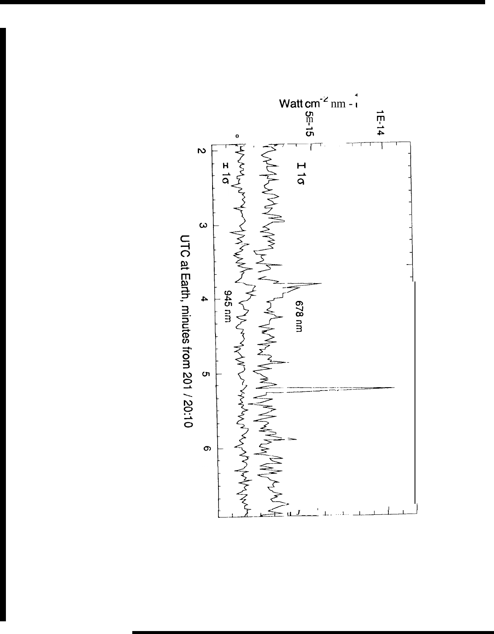